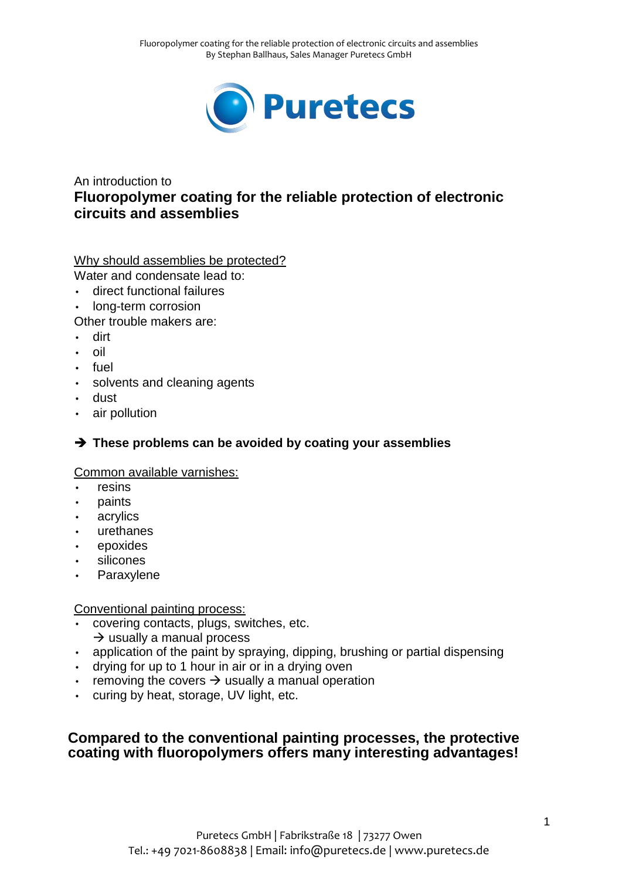

# An introduction to **Fluoropolymer coating for the reliable protection of electronic circuits and assemblies**

## Why should assemblies be protected?

Water and condensate lead to:

- direct functional failures
- long-term corrosion

Other trouble makers are:

- dirt
- oil
- fuel
- solvents and cleaning agents
- dust
- air pollution

# **These problems can be avoided by coating your assemblies**

# Common available varnishes:

- resins
- paints
- acrylics
- urethanes
- epoxides
- silicones
- Paraxylene

## Conventional painting process:

- covering contacts, plugs, switches, etc.
	- $\rightarrow$  usually a manual process
- application of the paint by spraying, dipping, brushing or partial dispensing
- drying for up to 1 hour in air or in a drying oven
- removing the covers  $\rightarrow$  usually a manual operation
- curing by heat, storage, UV light, etc.

# **Compared to the conventional painting processes, the protective coating with fluoropolymers offers many interesting advantages!**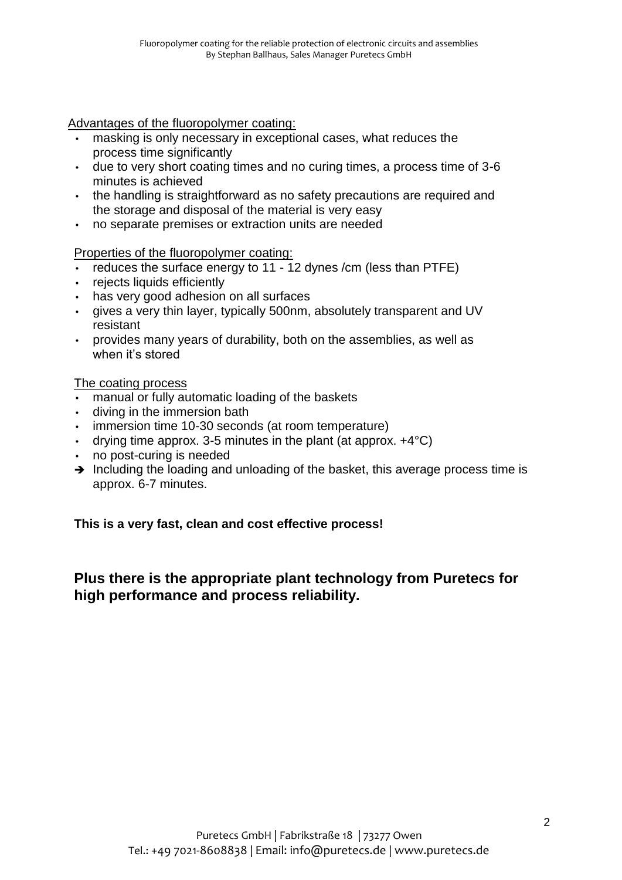Advantages of the fluoropolymer coating:

- masking is only necessary in exceptional cases, what reduces the process time significantly
- due to very short coating times and no curing times, a process time of 3-6 minutes is achieved
- the handling is straightforward as no safety precautions are required and the storage and disposal of the material is very easy
- no separate premises or extraction units are needed

Properties of the fluoropolymer coating:

- reduces the surface energy to 11 12 dynes /cm (less than PTFE)
- rejects liquids efficiently
- has very good adhesion on all surfaces
- gives a very thin layer, typically 500nm, absolutely transparent and UV resistant
- provides many years of durability, both on the assemblies, as well as when it's stored

The coating process

- manual or fully automatic loading of the baskets
- diving in the immersion bath
- immersion time 10-30 seconds (at room temperature)
- drying time approx. 3-5 minutes in the plant (at approx.  $+4^{\circ}C$ )
- no post-curing is needed
- $\rightarrow$  Including the loading and unloading of the basket, this average process time is approx. 6-7 minutes.

**This is a very fast, clean and cost effective process!**

**Plus there is the appropriate plant technology from Puretecs for high performance and process reliability.**